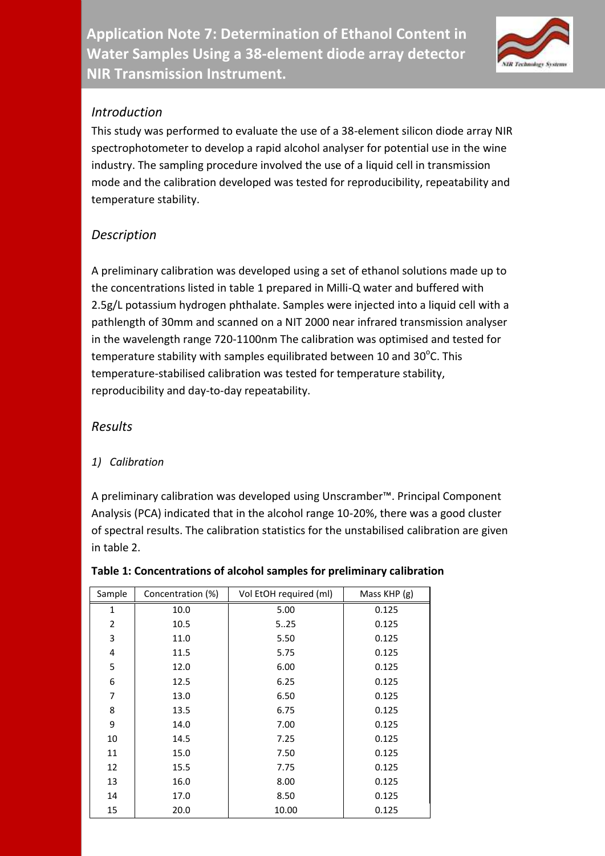**Application Note 7: Determination of Ethanol Content in Water Samples Using a 38-element diode array detector NIR Transmission Instrument.** 



## *Introduction*

This study was performed to evaluate the use of a 38-element silicon diode array NIR spectrophotometer to develop a rapid alcohol analyser for potential use in the wine industry. The sampling procedure involved the use of a liquid cell in transmission mode and the calibration developed was tested for reproducibility, repeatability and temperature stability.

# *Description*

A preliminary calibration was developed using a set of ethanol solutions made up to the concentrations listed in table 1 prepared in Milli-Q water and buffered with 2.5g/L potassium hydrogen phthalate. Samples were injected into a liquid cell with a pathlength of 30mm and scanned on a NIT 2000 near infrared transmission analyser in the wavelength range 720-1100nm The calibration was optimised and tested for temperature stability with samples equilibrated between 10 and 30 $^{\circ}$ C. This temperature-stabilised calibration was tested for temperature stability, reproducibility and day-to-day repeatability.

## *Results*

## *1) Calibration*

A preliminary calibration was developed using Unscramber™. Principal Component Analysis (PCA) indicated that in the alcohol range 10-20%, there was a good cluster of spectral results. The calibration statistics for the unstabilised calibration are given in table 2.

| Sample         | Concentration (%) | Vol EtOH required (ml) | Mass KHP (g) |  |
|----------------|-------------------|------------------------|--------------|--|
| 1              | 10.0              | 5.00                   | 0.125        |  |
| $\overline{2}$ | 10.5              | 5.25                   | 0.125        |  |
| 3              | 11.0              | 5.50                   | 0.125        |  |
| 4              | 11.5              | 5.75                   | 0.125        |  |
| 5              | 12.0              | 6.00                   | 0.125        |  |
| 6              | 12.5              | 6.25                   | 0.125        |  |
| $\overline{7}$ | 13.0              | 6.50                   | 0.125        |  |
| 8              | 13.5              | 6.75                   | 0.125        |  |
| 9              | 14.0              | 7.00                   | 0.125        |  |
| 10             | 14.5              | 7.25                   | 0.125        |  |
| 11             | 15.0              | 7.50                   | 0.125        |  |
| 12             | 15.5              | 7.75                   | 0.125        |  |
| 13             | 16.0              | 8.00                   | 0.125        |  |
| 14             | 17.0              | 8.50                   | 0.125        |  |
| 15             | 20.0              | 10.00                  | 0.125        |  |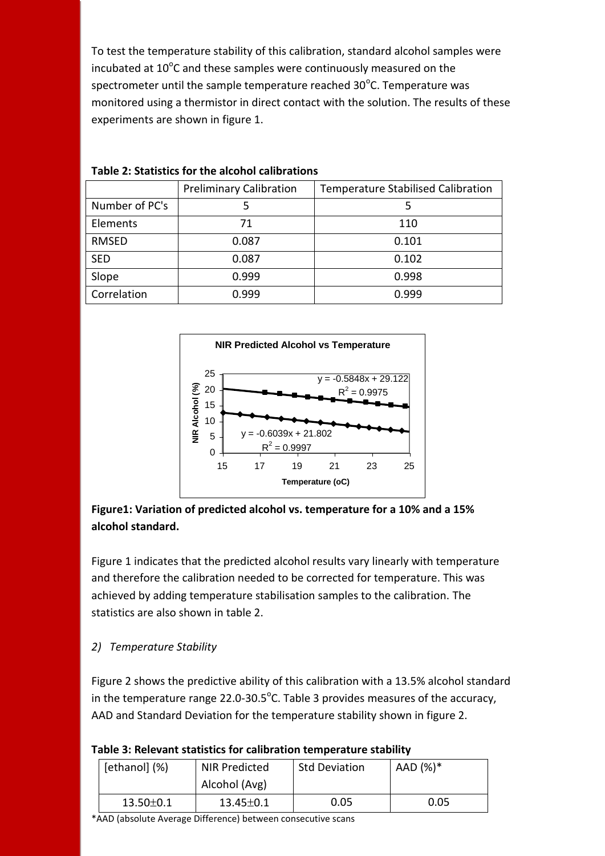To test the temperature stability of this calibration, standard alcohol samples were incubated at  $10^{\circ}$ C and these samples were continuously measured on the spectrometer until the sample temperature reached  $30^{\circ}$ C. Temperature was monitored using a thermistor in direct contact with the solution. The results of these experiments are shown in figure 1.

|                | <b>Preliminary Calibration</b> | <b>Temperature Stabilised Calibration</b> |  |  |
|----------------|--------------------------------|-------------------------------------------|--|--|
| Number of PC's | 5                              | 5                                         |  |  |
| Elements       | 71                             | 110                                       |  |  |
| <b>RMSED</b>   | 0.087                          | 0.101                                     |  |  |
| <b>SED</b>     | 0.087                          | 0.102                                     |  |  |
| Slope          | 0.999                          | 0.998                                     |  |  |
| Correlation    | 0.999                          | 0.999                                     |  |  |

#### **Table 2: Statistics for the alcohol calibrations**



### **Figure1: Variation of predicted alcohol vs. temperature for a 10% and a 15% alcohol standard.**

Figure 1 indicates that the predicted alcohol results vary linearly with temperature and therefore the calibration needed to be corrected for temperature. This was achieved by adding temperature stabilisation samples to the calibration. The statistics are also shown in table 2.

## *2) Temperature Stability*

Figure 2 shows the predictive ability of this calibration with a 13.5% alcohol standard in the temperature range 22.0-30.5 $^{\circ}$ C. Table 3 provides measures of the accuracy, AAD and Standard Deviation for the temperature stability shown in figure 2.

| [ethanol] (%)   | NIR Predicted   | <b>Std Deviation</b> | AAD (%)* |  |
|-----------------|-----------------|----------------------|----------|--|
|                 | Alcohol (Avg)   |                      |          |  |
| $13.50 \pm 0.1$ | $13.45 \pm 0.1$ | 0.05                 | 0.05     |  |

\*AAD (absolute Average Difference) between consecutive scans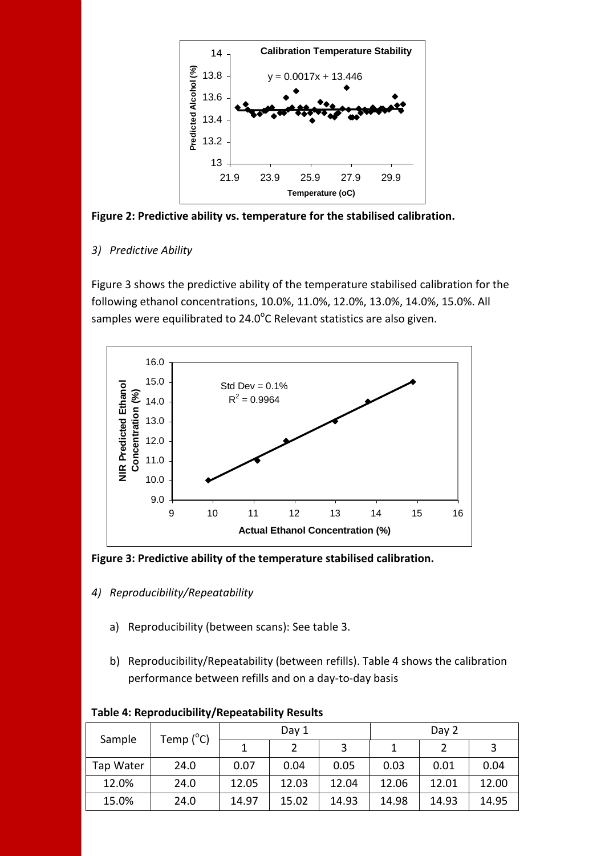

**Figure 2: Predictive ability vs. temperature for the stabilised calibration.**

*3) Predictive Ability*

Figure 3 shows the predictive ability of the temperature stabilised calibration for the following ethanol concentrations, 10.0%, 11.0%, 12.0%, 13.0%, 14.0%, 15.0%. All samples were equilibrated to 24.0 $^{\circ}$ C Relevant statistics are also given.



**Figure 3: Predictive ability of the temperature stabilised calibration.**

- *4) Reproducibility/Repeatability*
	- a) Reproducibility (between scans): See table 3.
	- b) Reproducibility/Repeatability (between refills). Table 4 shows the calibration performance between refills and on a day-to-day basis

| Sample    | Temp $(^{\circ}C)$ | Day 1 |       | Day 2 |       |       |       |
|-----------|--------------------|-------|-------|-------|-------|-------|-------|
|           |                    |       |       | 3     |       |       | 3     |
| Tap Water | 24.0               | 0.07  | 0.04  | 0.05  | 0.03  | 0.01  | 0.04  |
| 12.0%     | 24.0               | 12.05 | 12.03 | 12.04 | 12.06 | 12.01 | 12.00 |
| 15.0%     | 24.0               | 14.97 | 15.02 | 14.93 | 14.98 | 14.93 | 14.95 |

#### **Table 4: Reproducibility/Repeatability Results**